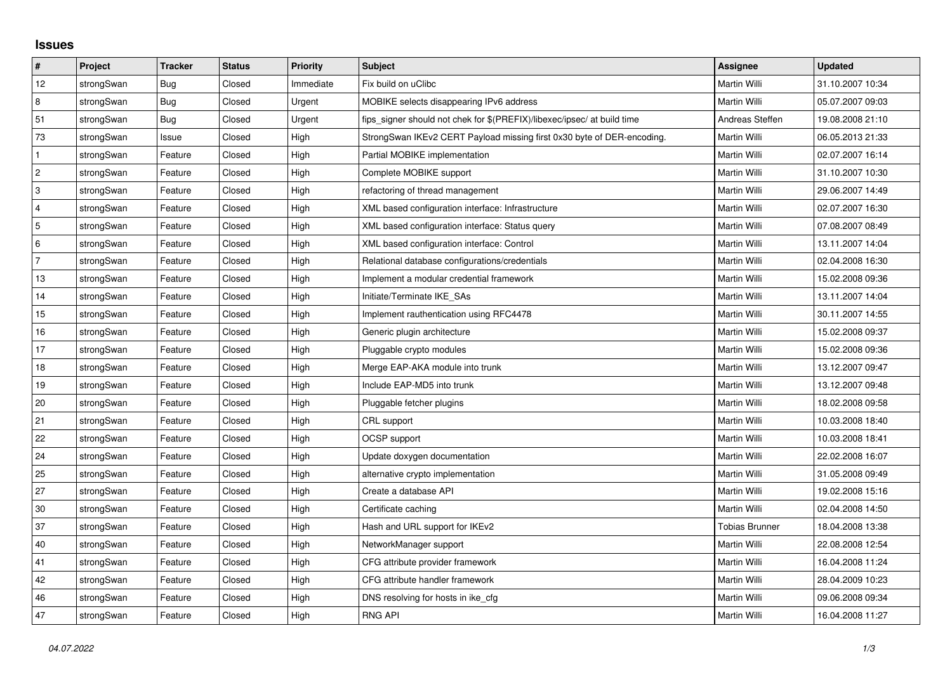## **Issues**

| $\vert$ #      | Project    | <b>Tracker</b> | <b>Status</b> | <b>Priority</b> | <b>Subject</b>                                                          | Assignee        | <b>Updated</b>   |
|----------------|------------|----------------|---------------|-----------------|-------------------------------------------------------------------------|-----------------|------------------|
| 12             | strongSwan | <b>Bug</b>     | Closed        | Immediate       | Fix build on uClibc                                                     | Martin Willi    | 31.10.2007 10:34 |
| 8              | strongSwan | Bug            | Closed        | Urgent          | MOBIKE selects disappearing IPv6 address                                | Martin Willi    | 05.07.2007 09:03 |
| 51             | strongSwan | Bug            | Closed        | Urgent          | fips_signer should not chek for \$(PREFIX)/libexec/ipsec/ at build time | Andreas Steffen | 19.08.2008 21:10 |
| 73             | strongSwan | Issue          | Closed        | High            | StrongSwan IKEv2 CERT Payload missing first 0x30 byte of DER-encoding.  | Martin Willi    | 06.05.2013 21:33 |
| $\mathbf{1}$   | strongSwan | Feature        | Closed        | High            | Partial MOBIKE implementation                                           | Martin Willi    | 02.07.2007 16:14 |
| $\vert$ 2      | strongSwan | Feature        | Closed        | High            | Complete MOBIKE support                                                 | Martin Willi    | 31.10.2007 10:30 |
| 3              | strongSwan | Feature        | Closed        | High            | refactoring of thread management                                        | Martin Willi    | 29.06.2007 14:49 |
| $\overline{4}$ | strongSwan | Feature        | Closed        | High            | XML based configuration interface: Infrastructure                       | Martin Willi    | 02.07.2007 16:30 |
| 5              | strongSwan | Feature        | Closed        | High            | XML based configuration interface: Status query                         | Martin Willi    | 07.08.2007 08:49 |
| 6              | strongSwan | Feature        | Closed        | High            | XML based configuration interface: Control                              | Martin Willi    | 13.11.2007 14:04 |
| $\overline{7}$ | strongSwan | Feature        | Closed        | High            | Relational database configurations/credentials                          | Martin Willi    | 02.04.2008 16:30 |
| 13             | strongSwan | Feature        | Closed        | High            | Implement a modular credential framework                                | Martin Willi    | 15.02.2008 09:36 |
| 14             | strongSwan | Feature        | Closed        | High            | Initiate/Terminate IKE_SAs                                              | Martin Willi    | 13.11.2007 14:04 |
| 15             | strongSwan | Feature        | Closed        | High            | Implement rauthentication using RFC4478                                 | Martin Willi    | 30.11.2007 14:55 |
| 16             | strongSwan | Feature        | Closed        | High            | Generic plugin architecture                                             | Martin Willi    | 15.02.2008 09:37 |
| 17             | strongSwan | Feature        | Closed        | High            | Pluggable crypto modules                                                | Martin Willi    | 15.02.2008 09:36 |
| 18             | strongSwan | Feature        | Closed        | High            | Merge EAP-AKA module into trunk                                         | Martin Willi    | 13.12.2007 09:47 |
| 19             | strongSwan | Feature        | Closed        | High            | Include EAP-MD5 into trunk                                              | Martin Willi    | 13.12.2007 09:48 |
| 20             | strongSwan | Feature        | Closed        | High            | Pluggable fetcher plugins                                               | Martin Willi    | 18.02.2008 09:58 |
| 21             | strongSwan | Feature        | Closed        | High            | CRL support                                                             | Martin Willi    | 10.03.2008 18:40 |
| 22             | strongSwan | Feature        | Closed        | High            | OCSP support                                                            | Martin Willi    | 10.03.2008 18:41 |
| 24             | strongSwan | Feature        | Closed        | High            | Update doxygen documentation                                            | Martin Willi    | 22.02.2008 16:07 |
| 25             | strongSwan | Feature        | Closed        | High            | alternative crypto implementation                                       | Martin Willi    | 31.05.2008 09:49 |
| 27             | strongSwan | Feature        | Closed        | High            | Create a database API                                                   | Martin Willi    | 19.02.2008 15:16 |
| 30             | strongSwan | Feature        | Closed        | High            | Certificate caching                                                     | Martin Willi    | 02.04.2008 14:50 |
| 37             | strongSwan | Feature        | Closed        | High            | Hash and URL support for IKEv2                                          | Tobias Brunner  | 18.04.2008 13:38 |
| 40             | strongSwan | Feature        | Closed        | High            | NetworkManager support                                                  | Martin Willi    | 22.08.2008 12:54 |
| 41             | strongSwan | Feature        | Closed        | High            | CFG attribute provider framework                                        | Martin Willi    | 16.04.2008 11:24 |
| 42             | strongSwan | Feature        | Closed        | High            | CFG attribute handler framework                                         | Martin Willi    | 28.04.2009 10:23 |
| 46             | strongSwan | Feature        | Closed        | High            | DNS resolving for hosts in ike_cfg                                      | Martin Willi    | 09.06.2008 09:34 |
| 47             | strongSwan | Feature        | Closed        | High            | <b>RNG API</b>                                                          | Martin Willi    | 16.04.2008 11:27 |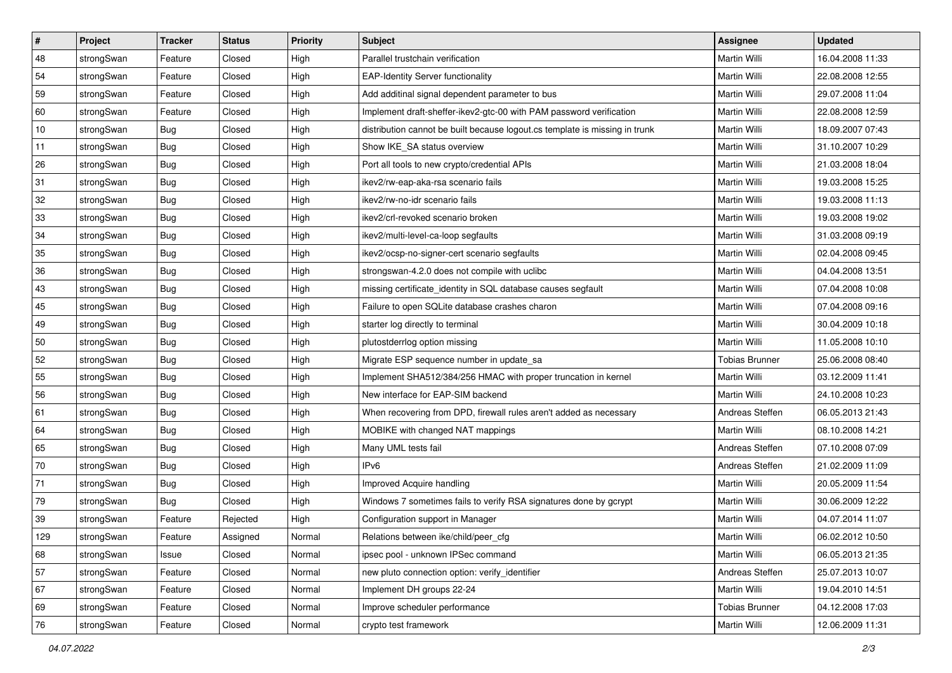| $\vert$ # | Project    | <b>Tracker</b> | <b>Status</b> | <b>Priority</b> | <b>Subject</b>                                                              | Assignee              | <b>Updated</b>   |
|-----------|------------|----------------|---------------|-----------------|-----------------------------------------------------------------------------|-----------------------|------------------|
| 48        | strongSwan | Feature        | Closed        | High            | Parallel trustchain verification                                            | Martin Willi          | 16.04.2008 11:33 |
| 54        | strongSwan | Feature        | Closed        | High            | <b>EAP-Identity Server functionality</b>                                    | <b>Martin Willi</b>   | 22.08.2008 12:55 |
| 59        | strongSwan | Feature        | Closed        | High            | Add additinal signal dependent parameter to bus                             | Martin Willi          | 29.07.2008 11:04 |
| 60        | strongSwan | Feature        | Closed        | High            | Implement draft-sheffer-ikev2-gtc-00 with PAM password verification         | Martin Willi          | 22.08.2008 12:59 |
| 10        | strongSwan | Bug            | Closed        | High            | distribution cannot be built because logout.cs template is missing in trunk | Martin Willi          | 18.09.2007 07:43 |
| 11        | strongSwan | <b>Bug</b>     | Closed        | High            | Show IKE SA status overview                                                 | Martin Willi          | 31.10.2007 10:29 |
| 26        | strongSwan | Bug            | Closed        | High            | Port all tools to new crypto/credential APIs                                | Martin Willi          | 21.03.2008 18:04 |
| 31        | strongSwan | Bug            | Closed        | High            | ikev2/rw-eap-aka-rsa scenario fails                                         | Martin Willi          | 19.03.2008 15:25 |
| 32        | strongSwan | <b>Bug</b>     | Closed        | High            | ikev2/rw-no-idr scenario fails                                              | Martin Willi          | 19.03.2008 11:13 |
| 33        | strongSwan | Bug            | Closed        | High            | ikev2/crl-revoked scenario broken                                           | Martin Willi          | 19.03.2008 19:02 |
| 34        | strongSwan | Bug            | Closed        | High            | ikev2/multi-level-ca-loop segfaults                                         | Martin Willi          | 31.03.2008 09:19 |
| 35        | strongSwan | <b>Bug</b>     | Closed        | High            | ikev2/ocsp-no-signer-cert scenario segfaults                                | Martin Willi          | 02.04.2008 09:45 |
| 36        | strongSwan | Bug            | Closed        | High            | strongswan-4.2.0 does not compile with uclibc                               | <b>Martin Willi</b>   | 04.04.2008 13:51 |
| 43        | strongSwan | <b>Bug</b>     | Closed        | High            | missing certificate_identity in SQL database causes segfault                | Martin Willi          | 07.04.2008 10:08 |
| 45        | strongSwan | Bug            | Closed        | High            | Failure to open SQLite database crashes charon                              | <b>Martin Willi</b>   | 07.04.2008 09:16 |
| 49        | strongSwan | <b>Bug</b>     | Closed        | High            | starter log directly to terminal                                            | Martin Willi          | 30.04.2009 10:18 |
| 50        | strongSwan | <b>Bug</b>     | Closed        | High            | plutostderrlog option missing                                               | <b>Martin Willi</b>   | 11.05.2008 10:10 |
| 52        | strongSwan | Bug            | Closed        | High            | Migrate ESP sequence number in update_sa                                    | Tobias Brunner        | 25.06.2008 08:40 |
| 55        | strongSwan | <b>Bug</b>     | Closed        | High            | Implement SHA512/384/256 HMAC with proper truncation in kernel              | Martin Willi          | 03.12.2009 11:41 |
| 56        | strongSwan | Bug            | Closed        | High            | New interface for EAP-SIM backend                                           | Martin Willi          | 24.10.2008 10:23 |
| 61        | strongSwan | <b>Bug</b>     | Closed        | High            | When recovering from DPD, firewall rules aren't added as necessary          | Andreas Steffen       | 06.05.2013 21:43 |
| 64        | strongSwan | <b>Bug</b>     | Closed        | High            | MOBIKE with changed NAT mappings                                            | Martin Willi          | 08.10.2008 14:21 |
| 65        | strongSwan | Bug            | Closed        | High            | Many UML tests fail                                                         | Andreas Steffen       | 07.10.2008 07:09 |
| 70        | strongSwan | <b>Bug</b>     | Closed        | High            | IP <sub>v6</sub>                                                            | Andreas Steffen       | 21.02.2009 11:09 |
| 71        | strongSwan | <b>Bug</b>     | Closed        | High            | Improved Acquire handling                                                   | Martin Willi          | 20.05.2009 11:54 |
| 79        | strongSwan | <b>Bug</b>     | Closed        | High            | Windows 7 sometimes fails to verify RSA signatures done by gcrypt           | Martin Willi          | 30.06.2009 12:22 |
| 39        | strongSwan | Feature        | Rejected      | High            | Configuration support in Manager                                            | Martin Willi          | 04.07.2014 11:07 |
| 129       | strongSwan | Feature        | Assigned      | Normal          | Relations between ike/child/peer_cfg                                        | Martin Willi          | 06.02.2012 10:50 |
| 68        | strongSwan | Issue          | Closed        | Normal          | ipsec pool - unknown IPSec command                                          | Martin Willi          | 06.05.2013 21:35 |
| 57        | strongSwan | Feature        | Closed        | Normal          | new pluto connection option: verify identifier                              | Andreas Steffen       | 25.07.2013 10:07 |
| 67        | strongSwan | Feature        | Closed        | Normal          | Implement DH groups 22-24                                                   | Martin Willi          | 19.04.2010 14:51 |
| 69        | strongSwan | Feature        | Closed        | Normal          | Improve scheduler performance                                               | <b>Tobias Brunner</b> | 04.12.2008 17:03 |
| 76        | strongSwan | Feature        | Closed        | Normal          | crypto test framework                                                       | Martin Willi          | 12.06.2009 11:31 |